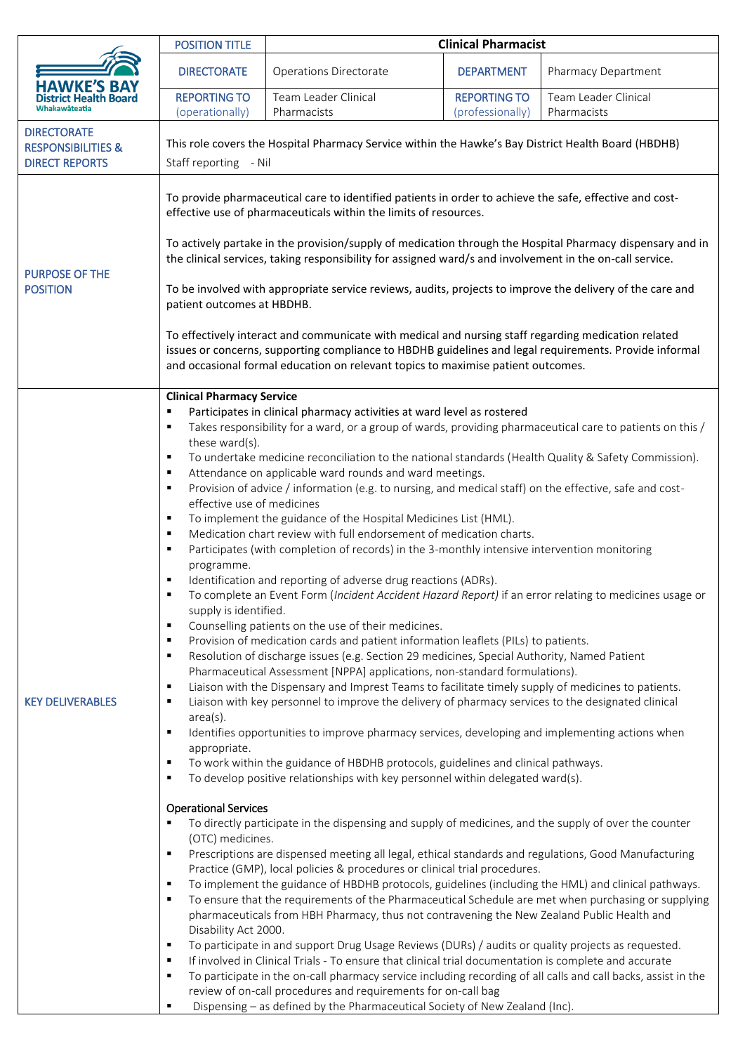|                                                                              | <b>POSITION TITLE</b>                                                                                                                                                                                                                                                                                                                                                                                                                                                                                                                                                                                                                                                                                                                                                                                                                                                                                                                                                                                                                                                                                                                                                                                                                                                                                                                                                                                                                                                                                                                                                                                                                                                                                                                                                                                                                                                                                                                                                                                       | <b>Clinical Pharmacist</b>                                                                                                                                                                                                                                                                                                                                                                                                                                                                                                                                                                                                                                                                                                                                                                                                                                                                                                                                                                                                                                                             |                                         |                                     |
|------------------------------------------------------------------------------|-------------------------------------------------------------------------------------------------------------------------------------------------------------------------------------------------------------------------------------------------------------------------------------------------------------------------------------------------------------------------------------------------------------------------------------------------------------------------------------------------------------------------------------------------------------------------------------------------------------------------------------------------------------------------------------------------------------------------------------------------------------------------------------------------------------------------------------------------------------------------------------------------------------------------------------------------------------------------------------------------------------------------------------------------------------------------------------------------------------------------------------------------------------------------------------------------------------------------------------------------------------------------------------------------------------------------------------------------------------------------------------------------------------------------------------------------------------------------------------------------------------------------------------------------------------------------------------------------------------------------------------------------------------------------------------------------------------------------------------------------------------------------------------------------------------------------------------------------------------------------------------------------------------------------------------------------------------------------------------------------------------|----------------------------------------------------------------------------------------------------------------------------------------------------------------------------------------------------------------------------------------------------------------------------------------------------------------------------------------------------------------------------------------------------------------------------------------------------------------------------------------------------------------------------------------------------------------------------------------------------------------------------------------------------------------------------------------------------------------------------------------------------------------------------------------------------------------------------------------------------------------------------------------------------------------------------------------------------------------------------------------------------------------------------------------------------------------------------------------|-----------------------------------------|-------------------------------------|
| Whakawāteatia                                                                | <b>DIRECTORATE</b>                                                                                                                                                                                                                                                                                                                                                                                                                                                                                                                                                                                                                                                                                                                                                                                                                                                                                                                                                                                                                                                                                                                                                                                                                                                                                                                                                                                                                                                                                                                                                                                                                                                                                                                                                                                                                                                                                                                                                                                          | <b>Operations Directorate</b>                                                                                                                                                                                                                                                                                                                                                                                                                                                                                                                                                                                                                                                                                                                                                                                                                                                                                                                                                                                                                                                          | <b>DEPARTMENT</b>                       | Pharmacy Department                 |
|                                                                              | <b>REPORTING TO</b><br>(operationally)                                                                                                                                                                                                                                                                                                                                                                                                                                                                                                                                                                                                                                                                                                                                                                                                                                                                                                                                                                                                                                                                                                                                                                                                                                                                                                                                                                                                                                                                                                                                                                                                                                                                                                                                                                                                                                                                                                                                                                      | Team Leader Clinical<br>Pharmacists                                                                                                                                                                                                                                                                                                                                                                                                                                                                                                                                                                                                                                                                                                                                                                                                                                                                                                                                                                                                                                                    | <b>REPORTING TO</b><br>(professionally) | Team Leader Clinical<br>Pharmacists |
| <b>DIRECTORATE</b><br><b>RESPONSIBILITIES &amp;</b><br><b>DIRECT REPORTS</b> | This role covers the Hospital Pharmacy Service within the Hawke's Bay District Health Board (HBDHB)<br>Staff reporting - Nil                                                                                                                                                                                                                                                                                                                                                                                                                                                                                                                                                                                                                                                                                                                                                                                                                                                                                                                                                                                                                                                                                                                                                                                                                                                                                                                                                                                                                                                                                                                                                                                                                                                                                                                                                                                                                                                                                |                                                                                                                                                                                                                                                                                                                                                                                                                                                                                                                                                                                                                                                                                                                                                                                                                                                                                                                                                                                                                                                                                        |                                         |                                     |
| <b>PURPOSE OF THE</b><br><b>POSITION</b>                                     | To provide pharmaceutical care to identified patients in order to achieve the safe, effective and cost-<br>effective use of pharmaceuticals within the limits of resources.<br>To actively partake in the provision/supply of medication through the Hospital Pharmacy dispensary and in<br>the clinical services, taking responsibility for assigned ward/s and involvement in the on-call service.<br>To be involved with appropriate service reviews, audits, projects to improve the delivery of the care and<br>patient outcomes at HBDHB.<br>To effectively interact and communicate with medical and nursing staff regarding medication related<br>issues or concerns, supporting compliance to HBDHB guidelines and legal requirements. Provide informal<br>and occasional formal education on relevant topics to maximise patient outcomes.                                                                                                                                                                                                                                                                                                                                                                                                                                                                                                                                                                                                                                                                                                                                                                                                                                                                                                                                                                                                                                                                                                                                                        |                                                                                                                                                                                                                                                                                                                                                                                                                                                                                                                                                                                                                                                                                                                                                                                                                                                                                                                                                                                                                                                                                        |                                         |                                     |
| <b>KEY DELIVERABLES</b>                                                      | <b>Clinical Pharmacy Service</b><br>Participates in clinical pharmacy activities at ward level as rostered<br>٠<br>Takes responsibility for a ward, or a group of wards, providing pharmaceutical care to patients on this /<br>٠<br>these ward(s).<br>To undertake medicine reconciliation to the national standards (Health Quality & Safety Commission).<br>$\blacksquare$<br>Attendance on applicable ward rounds and ward meetings.<br>٠<br>Provision of advice / information (e.g. to nursing, and medical staff) on the effective, safe and cost-<br>٠<br>effective use of medicines<br>To implement the guidance of the Hospital Medicines List (HML).<br>٠<br>Medication chart review with full endorsement of medication charts.<br>٠<br>Participates (with completion of records) in the 3-monthly intensive intervention monitoring<br>٠<br>programme.<br>Identification and reporting of adverse drug reactions (ADRs).<br>٠<br>To complete an Event Form (Incident Accident Hazard Report) if an error relating to medicines usage or<br>supply is identified.<br>Counselling patients on the use of their medicines.<br>٠<br>Provision of medication cards and patient information leaflets (PILs) to patients.<br>$\blacksquare$<br>Resolution of discharge issues (e.g. Section 29 medicines, Special Authority, Named Patient<br>$\blacksquare$<br>Pharmaceutical Assessment [NPPA] applications, non-standard formulations).<br>Liaison with the Dispensary and Imprest Teams to facilitate timely supply of medicines to patients.<br>$\blacksquare$<br>Liaison with key personnel to improve the delivery of pharmacy services to the designated clinical<br>٠<br>$area(s)$ .<br>Identifies opportunities to improve pharmacy services, developing and implementing actions when<br>٠<br>appropriate.<br>To work within the guidance of HBDHB protocols, guidelines and clinical pathways.<br>٠<br>To develop positive relationships with key personnel within delegated ward(s).<br>٠ |                                                                                                                                                                                                                                                                                                                                                                                                                                                                                                                                                                                                                                                                                                                                                                                                                                                                                                                                                                                                                                                                                        |                                         |                                     |
|                                                                              | <b>Operational Services</b><br>٠<br>(OTC) medicines.<br>٠<br>$\blacksquare$<br>٠<br>Disability Act 2000.<br>$\blacksquare$<br>$\blacksquare$<br>٠<br>٠                                                                                                                                                                                                                                                                                                                                                                                                                                                                                                                                                                                                                                                                                                                                                                                                                                                                                                                                                                                                                                                                                                                                                                                                                                                                                                                                                                                                                                                                                                                                                                                                                                                                                                                                                                                                                                                      | To directly participate in the dispensing and supply of medicines, and the supply of over the counter<br>Prescriptions are dispensed meeting all legal, ethical standards and regulations, Good Manufacturing<br>Practice (GMP), local policies & procedures or clinical trial procedures.<br>To implement the guidance of HBDHB protocols, guidelines (including the HML) and clinical pathways.<br>To ensure that the requirements of the Pharmaceutical Schedule are met when purchasing or supplying<br>pharmaceuticals from HBH Pharmacy, thus not contravening the New Zealand Public Health and<br>To participate in and support Drug Usage Reviews (DURs) / audits or quality projects as requested.<br>If involved in Clinical Trials - To ensure that clinical trial documentation is complete and accurate<br>To participate in the on-call pharmacy service including recording of all calls and call backs, assist in the<br>review of on-call procedures and requirements for on-call bag<br>Dispensing - as defined by the Pharmaceutical Society of New Zealand (Inc). |                                         |                                     |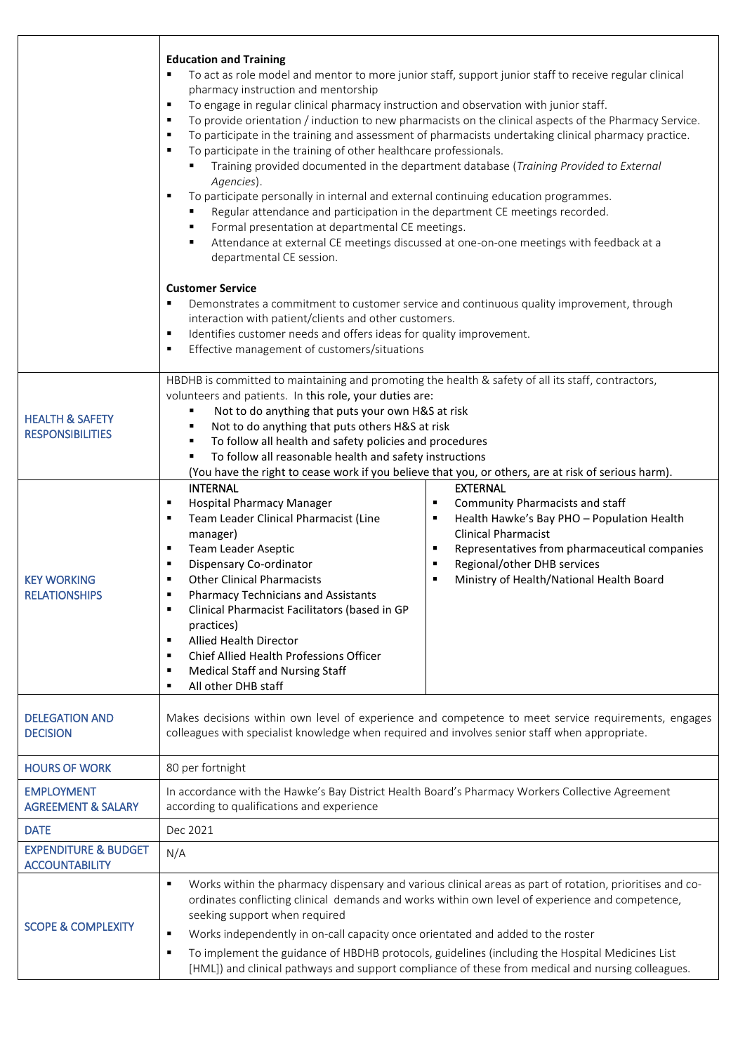|                                                          | <b>Education and Training</b><br>To act as role model and mentor to more junior staff, support junior staff to receive regular clinical<br>pharmacy instruction and mentorship<br>To engage in regular clinical pharmacy instruction and observation with junior staff.<br>٠<br>To provide orientation / induction to new pharmacists on the clinical aspects of the Pharmacy Service.<br>٠<br>To participate in the training and assessment of pharmacists undertaking clinical pharmacy practice.<br>٠<br>To participate in the training of other healthcare professionals.<br>٠<br>Training provided documented in the department database (Training Provided to External<br>Agencies).<br>To participate personally in internal and external continuing education programmes.<br>٠<br>Regular attendance and participation in the department CE meetings recorded.<br>Formal presentation at departmental CE meetings.<br>Attendance at external CE meetings discussed at one-on-one meetings with feedback at a<br>٠<br>departmental CE session. |  |  |  |
|----------------------------------------------------------|-------------------------------------------------------------------------------------------------------------------------------------------------------------------------------------------------------------------------------------------------------------------------------------------------------------------------------------------------------------------------------------------------------------------------------------------------------------------------------------------------------------------------------------------------------------------------------------------------------------------------------------------------------------------------------------------------------------------------------------------------------------------------------------------------------------------------------------------------------------------------------------------------------------------------------------------------------------------------------------------------------------------------------------------------------|--|--|--|
|                                                          | <b>Customer Service</b><br>Demonstrates a commitment to customer service and continuous quality improvement, through<br>٠<br>interaction with patient/clients and other customers.<br>Identifies customer needs and offers ideas for quality improvement.<br>$\blacksquare$<br>Effective management of customers/situations<br>٠                                                                                                                                                                                                                                                                                                                                                                                                                                                                                                                                                                                                                                                                                                                      |  |  |  |
| <b>HEALTH &amp; SAFETY</b><br><b>RESPONSIBILITIES</b>    | HBDHB is committed to maintaining and promoting the health & safety of all its staff, contractors,<br>volunteers and patients. In this role, your duties are:<br>Not to do anything that puts your own H&S at risk<br>٠<br>Not to do anything that puts others H&S at risk<br>٠<br>To follow all health and safety policies and procedures<br>٠<br>To follow all reasonable health and safety instructions<br>٠<br>(You have the right to cease work if you believe that you, or others, are at risk of serious harm).                                                                                                                                                                                                                                                                                                                                                                                                                                                                                                                                |  |  |  |
| <b>KEY WORKING</b><br><b>RELATIONSHIPS</b>               | <b>INTERNAL</b><br><b>EXTERNAL</b><br><b>Hospital Pharmacy Manager</b><br>Community Pharmacists and staff<br>٠<br>٠<br>Team Leader Clinical Pharmacist (Line<br>Health Hawke's Bay PHO - Population Health<br>٠<br>٠<br><b>Clinical Pharmacist</b><br>manager)<br>Team Leader Aseptic<br>Representatives from pharmaceutical companies<br>٠<br>٠<br>Dispensary Co-ordinator<br>Regional/other DHB services<br>٠<br>٠<br><b>Other Clinical Pharmacists</b><br>Ministry of Health/National Health Board<br>٠<br>٠<br><b>Pharmacy Technicians and Assistants</b><br>п<br>Clinical Pharmacist Facilitators (based in GP<br>٠<br>practices)<br>Allied Health Director<br>٠<br>Chief Allied Health Professions Officer<br>п<br><b>Medical Staff and Nursing Staff</b><br>٠<br>All other DHB staff<br>٠                                                                                                                                                                                                                                                      |  |  |  |
| <b>DELEGATION AND</b><br><b>DECISION</b>                 | Makes decisions within own level of experience and competence to meet service requirements, engages<br>colleagues with specialist knowledge when required and involves senior staff when appropriate.                                                                                                                                                                                                                                                                                                                                                                                                                                                                                                                                                                                                                                                                                                                                                                                                                                                 |  |  |  |
| <b>HOURS OF WORK</b>                                     | 80 per fortnight                                                                                                                                                                                                                                                                                                                                                                                                                                                                                                                                                                                                                                                                                                                                                                                                                                                                                                                                                                                                                                      |  |  |  |
| <b>EMPLOYMENT</b><br><b>AGREEMENT &amp; SALARY</b>       | In accordance with the Hawke's Bay District Health Board's Pharmacy Workers Collective Agreement<br>according to qualifications and experience                                                                                                                                                                                                                                                                                                                                                                                                                                                                                                                                                                                                                                                                                                                                                                                                                                                                                                        |  |  |  |
| <b>DATE</b>                                              | Dec 2021                                                                                                                                                                                                                                                                                                                                                                                                                                                                                                                                                                                                                                                                                                                                                                                                                                                                                                                                                                                                                                              |  |  |  |
| <b>EXPENDITURE &amp; BUDGET</b><br><b>ACCOUNTABILITY</b> | N/A                                                                                                                                                                                                                                                                                                                                                                                                                                                                                                                                                                                                                                                                                                                                                                                                                                                                                                                                                                                                                                                   |  |  |  |
| <b>SCOPE &amp; COMPLEXITY</b>                            | Works within the pharmacy dispensary and various clinical areas as part of rotation, prioritises and co-<br>٠<br>ordinates conflicting clinical demands and works within own level of experience and competence,<br>seeking support when required<br>Works independently in on-call capacity once orientated and added to the roster<br>٠<br>To implement the guidance of HBDHB protocols, guidelines (including the Hospital Medicines List<br>٠<br>[HML]) and clinical pathways and support compliance of these from medical and nursing colleagues.                                                                                                                                                                                                                                                                                                                                                                                                                                                                                                |  |  |  |